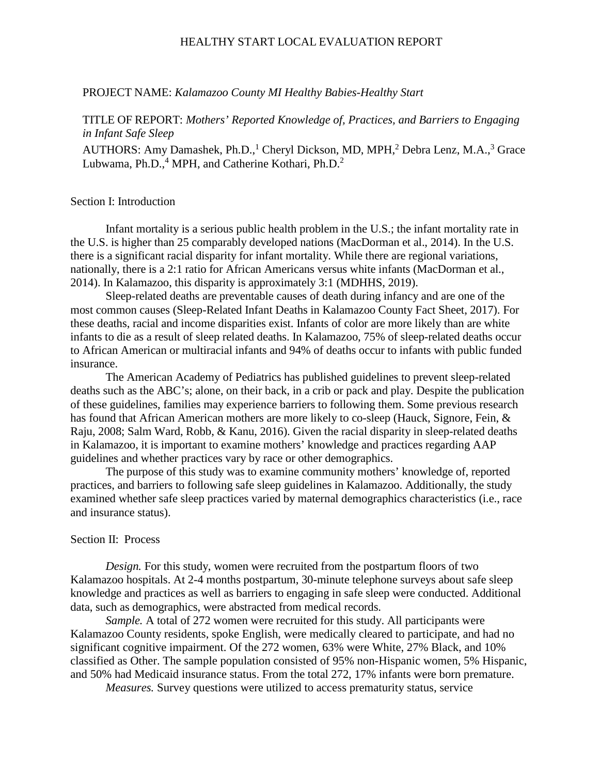### HEALTHY START LOCAL EVALUATION REPORT

#### PROJECT NAME: *Kalamazoo County MI Healthy Babies-Healthy Start*

## TITLE OF REPORT: *Mothers' Reported Knowledge of, Practices, and Barriers to Engaging in Infant Safe Sleep*

AUTHORS: Amy Damashek, Ph.D.,<sup>1</sup> Cheryl Dickson, MD, MPH,<sup>2</sup> Debra Lenz, M.A.,<sup>3</sup> Grace Lubwama, Ph.D.,<sup>4</sup> MPH, and Catherine Kothari, Ph.D.<sup>2</sup>

#### Section I: Introduction

Infant mortality is a serious public health problem in the U.S.; the infant mortality rate in the U.S. is higher than 25 comparably developed nations (MacDorman et al., 2014). In the U.S. there is a significant racial disparity for infant mortality. While there are regional variations, nationally, there is a 2:1 ratio for African Americans versus white infants (MacDorman et al., 2014). In Kalamazoo, this disparity is approximately 3:1 (MDHHS, 2019).

Sleep-related deaths are preventable causes of death during infancy and are one of the most common causes (Sleep-Related Infant Deaths in Kalamazoo County Fact Sheet, 2017). For these deaths, racial and income disparities exist. Infants of color are more likely than are white infants to die as a result of sleep related deaths. In Kalamazoo, 75% of sleep-related deaths occur to African American or multiracial infants and 94% of deaths occur to infants with public funded insurance.

The American Academy of Pediatrics has published guidelines to prevent sleep-related deaths such as the ABC's; alone, on their back, in a crib or pack and play. Despite the publication of these guidelines, families may experience barriers to following them. Some previous research has found that African American mothers are more likely to co-sleep (Hauck, Signore, Fein, & Raju, 2008; Salm Ward, Robb, & Kanu, 2016). Given the racial disparity in sleep-related deaths in Kalamazoo, it is important to examine mothers' knowledge and practices regarding AAP guidelines and whether practices vary by race or other demographics.

The purpose of this study was to examine community mothers' knowledge of, reported practices, and barriers to following safe sleep guidelines in Kalamazoo. Additionally, the study examined whether safe sleep practices varied by maternal demographics characteristics (i.e., race and insurance status).

## Section II: Process

*Design.* For this study, women were recruited from the postpartum floors of two Kalamazoo hospitals. At 2-4 months postpartum, 30-minute telephone surveys about safe sleep knowledge and practices as well as barriers to engaging in safe sleep were conducted. Additional data, such as demographics, were abstracted from medical records.

*Sample.* A total of 272 women were recruited for this study. All participants were Kalamazoo County residents, spoke English, were medically cleared to participate, and had no significant cognitive impairment. Of the 272 women, 63% were White, 27% Black, and 10% classified as Other. The sample population consisted of 95% non-Hispanic women, 5% Hispanic, and 50% had Medicaid insurance status. From the total 272, 17% infants were born premature.

*Measures.* Survey questions were utilized to access prematurity status, service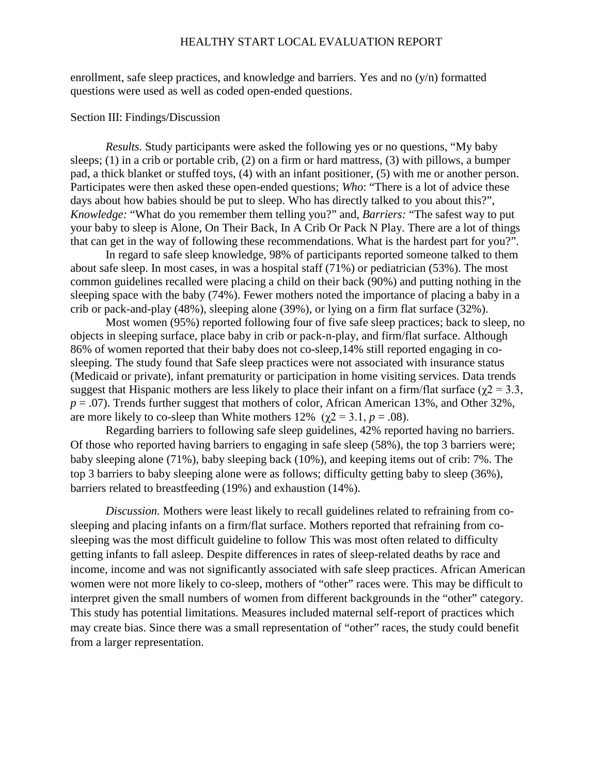### HEALTHY START LOCAL EVALUATION REPORT

enrollment, safe sleep practices, and knowledge and barriers. Yes and no  $(y/n)$  formatted questions were used as well as coded open-ended questions.

#### Section III: Findings/Discussion

*Results.* Study participants were asked the following yes or no questions, "My baby sleeps; (1) in a crib or portable crib, (2) on a firm or hard mattress, (3) with pillows, a bumper pad, a thick blanket or stuffed toys, (4) with an infant positioner, (5) with me or another person. Participates were then asked these open-ended questions; *Who*: "There is a lot of advice these days about how babies should be put to sleep. Who has directly talked to you about this?", *Knowledge:* "What do you remember them telling you?" and, *Barriers:* "The safest way to put your baby to sleep is Alone, On Their Back, In A Crib Or Pack N Play. There are a lot of things that can get in the way of following these recommendations. What is the hardest part for you?".

In regard to safe sleep knowledge, 98% of participants reported someone talked to them about safe sleep. In most cases, in was a hospital staff (71%) or pediatrician (53%). The most common guidelines recalled were placing a child on their back (90%) and putting nothing in the sleeping space with the baby (74%). Fewer mothers noted the importance of placing a baby in a crib or pack-and-play (48%), sleeping alone (39%), or lying on a firm flat surface (32%).

Most women (95%) reported following four of five safe sleep practices; back to sleep, no objects in sleeping surface, place baby in crib or pack-n-play, and firm/flat surface. Although 86% of women reported that their baby does not co-sleep,14% still reported engaging in cosleeping. The study found that Safe sleep practices were not associated with insurance status (Medicaid or private), infant prematurity or participation in home visiting services. Data trends suggest that Hispanic mothers are less likely to place their infant on a firm/flat surface ( $\gamma$ 2 = 3.3, *p* = .07). Trends further suggest that mothers of color, African American 13%, and Other 32%, are more likely to co-sleep than White mothers  $12\%$  ( $\chi$ 2 = 3.1, *p* = .08).

Regarding barriers to following safe sleep guidelines, 42% reported having no barriers. Of those who reported having barriers to engaging in safe sleep (58%), the top 3 barriers were; baby sleeping alone (71%), baby sleeping back (10%), and keeping items out of crib: 7%. The top 3 barriers to baby sleeping alone were as follows; difficulty getting baby to sleep (36%), barriers related to breastfeeding (19%) and exhaustion (14%).

*Discussion.* Mothers were least likely to recall guidelines related to refraining from cosleeping and placing infants on a firm/flat surface. Mothers reported that refraining from cosleeping was the most difficult guideline to follow This was most often related to difficulty getting infants to fall asleep. Despite differences in rates of sleep-related deaths by race and income, income and was not significantly associated with safe sleep practices. African American women were not more likely to co-sleep, mothers of "other" races were. This may be difficult to interpret given the small numbers of women from different backgrounds in the "other" category. This study has potential limitations. Measures included maternal self-report of practices which may create bias. Since there was a small representation of "other" races, the study could benefit from a larger representation.